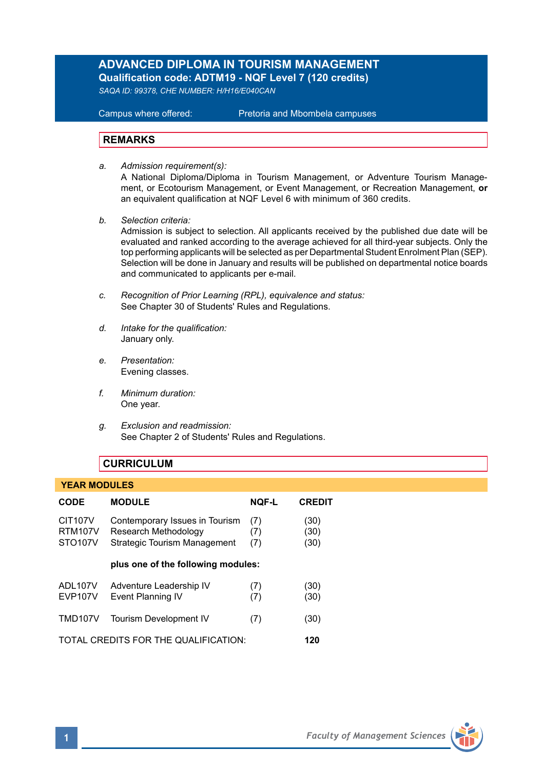# **ADVANCED DIPLOMA IN TOURISM MANAGEMENT Qualification code: ADTM19 - NQF Level 7 (120 credits)**

*SAQA ID: 99378, CHE NUMBER: H/H16/E040CAN* 

**Campus where offered:** 

Pretoria and Mbombela campuses

## **REMARKS**

- *a. Admission requirement(s):*  A National Diploma/Diploma in Tourism Management, or Adventure Tourism Management, or Ecotourism Management, or Event Management, or Recreation Management, **or** an equivalent qualification at NQF Level 6 with minimum of 360 credits.
- *b. Selection criteria:*

Admission is subject to selection. All applicants received by the published due date will be evaluated and ranked according to the average achieved for all third-year subjects. Only the top performing applicants will be selected as per Departmental Student Enrolment Plan (SEP). Selection will be done in January and results will be published on departmental notice boards and communicated to applicants per e-mail.

- *c. Recognition of Prior Learning (RPL), equivalence and status:* See Chapter 30 of Students' Rules and Regulations.
- *d. Intake for the qualification:* January only.
- *e. Presentation:* Evening classes.
- *f. Minimum duration:* One year.
- *g. Exclusion and readmission:* See Chapter 2 of Students' Rules and Regulations.

### **CURRICULUM**

#### **YEAR MODULES**

| <b>CODE</b>                                             | <b>MODULE</b>                                                                                 | <b>NOF-L</b>      | <b>CREDIT</b>        |
|---------------------------------------------------------|-----------------------------------------------------------------------------------------------|-------------------|----------------------|
| <b>CIT107V</b><br><b>RTM107V</b><br>STO <sub>107V</sub> | Contemporary Issues in Tourism<br>Research Methodology<br><b>Strategic Tourism Management</b> | (7)<br>(7)<br>(7) | (30)<br>(30)<br>(30) |
|                                                         | plus one of the following modules:                                                            |                   |                      |
| ADL107V<br><b>EVP107V</b>                               | Adventure Leadership IV<br>Event Planning IV                                                  | (7)<br>(7)        | (30)<br>(30)         |
| TMD107V                                                 | <b>Tourism Development IV</b>                                                                 | (7)               | (30)                 |
| TOTAL CREDITS FOR THE QUALIFICATION:                    |                                                                                               |                   | 120                  |